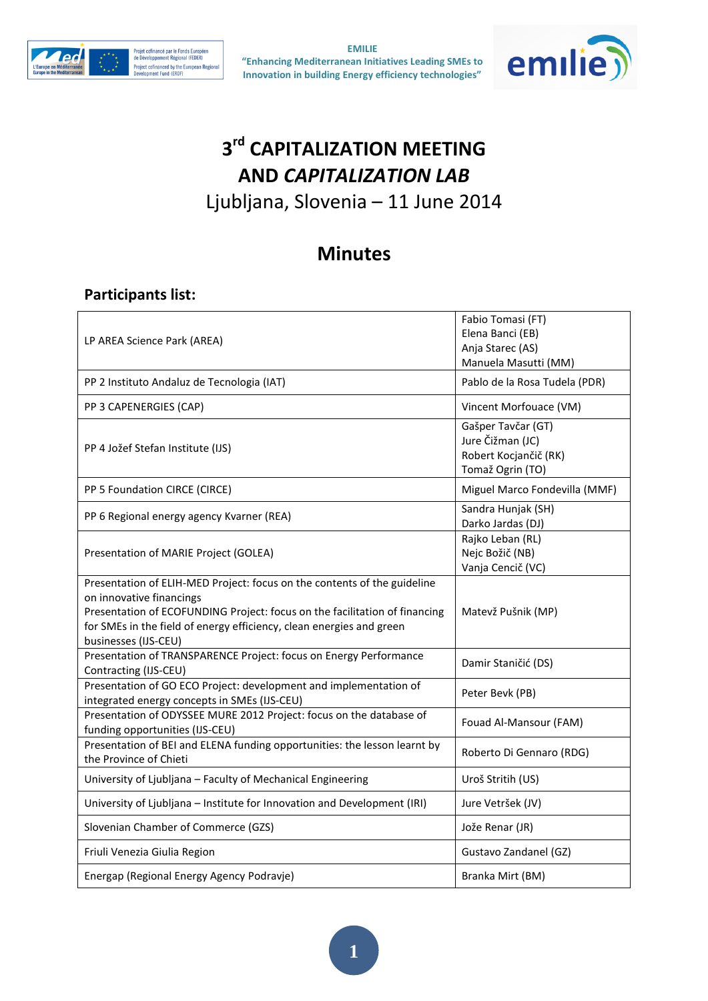



# **3 rd CAPITALIZATION MEETING AND** *CAPITALIZATION LAB*

Ljubljana, Slovenia – 11 June 2014

## **Minutes**

### **Participants list:**

| LP AREA Science Park (AREA)                                                                                                                                                                                                                                                        | Fabio Tomasi (FT)<br>Elena Banci (EB)<br>Anja Starec (AS)<br>Manuela Masutti (MM)   |
|------------------------------------------------------------------------------------------------------------------------------------------------------------------------------------------------------------------------------------------------------------------------------------|-------------------------------------------------------------------------------------|
| PP 2 Instituto Andaluz de Tecnologia (IAT)                                                                                                                                                                                                                                         | Pablo de la Rosa Tudela (PDR)                                                       |
| PP 3 CAPENERGIES (CAP)                                                                                                                                                                                                                                                             | Vincent Morfouace (VM)                                                              |
| PP 4 Jožef Stefan Institute (IJS)                                                                                                                                                                                                                                                  | Gašper Tavčar (GT)<br>Jure Čižman (JC)<br>Robert Kocjančič (RK)<br>Tomaž Ogrin (TO) |
| PP 5 Foundation CIRCE (CIRCE)                                                                                                                                                                                                                                                      | Miguel Marco Fondevilla (MMF)                                                       |
| PP 6 Regional energy agency Kvarner (REA)                                                                                                                                                                                                                                          | Sandra Hunjak (SH)<br>Darko Jardas (DJ)                                             |
| Presentation of MARIE Project (GOLEA)                                                                                                                                                                                                                                              | Rajko Leban (RL)<br>Nejc Božič (NB)<br>Vanja Cencič (VC)                            |
| Presentation of ELIH-MED Project: focus on the contents of the guideline<br>on innovative financings<br>Presentation of ECOFUNDING Project: focus on the facilitation of financing<br>for SMEs in the field of energy efficiency, clean energies and green<br>businesses (IJS-CEU) | Matevž Pušnik (MP)                                                                  |
| Presentation of TRANSPARENCE Project: focus on Energy Performance<br>Contracting (IJS-CEU)                                                                                                                                                                                         | Damir Staničić (DS)                                                                 |
| Presentation of GO ECO Project: development and implementation of<br>integrated energy concepts in SMEs (IJS-CEU)                                                                                                                                                                  | Peter Bevk (PB)                                                                     |
| Presentation of ODYSSEE MURE 2012 Project: focus on the database of<br>funding opportunities (IJS-CEU)                                                                                                                                                                             | Fouad Al-Mansour (FAM)                                                              |
| Presentation of BEI and ELENA funding opportunities: the lesson learnt by<br>the Province of Chieti                                                                                                                                                                                | Roberto Di Gennaro (RDG)                                                            |
| University of Ljubljana - Faculty of Mechanical Engineering                                                                                                                                                                                                                        | Uroš Stritih (US)                                                                   |
| University of Ljubljana - Institute for Innovation and Development (IRI)                                                                                                                                                                                                           | Jure Vetršek (JV)                                                                   |
| Slovenian Chamber of Commerce (GZS)                                                                                                                                                                                                                                                | Jože Renar (JR)                                                                     |
| Friuli Venezia Giulia Region                                                                                                                                                                                                                                                       | Gustavo Zandanel (GZ)                                                               |
| Energap (Regional Energy Agency Podravje)                                                                                                                                                                                                                                          | Branka Mirt (BM)                                                                    |

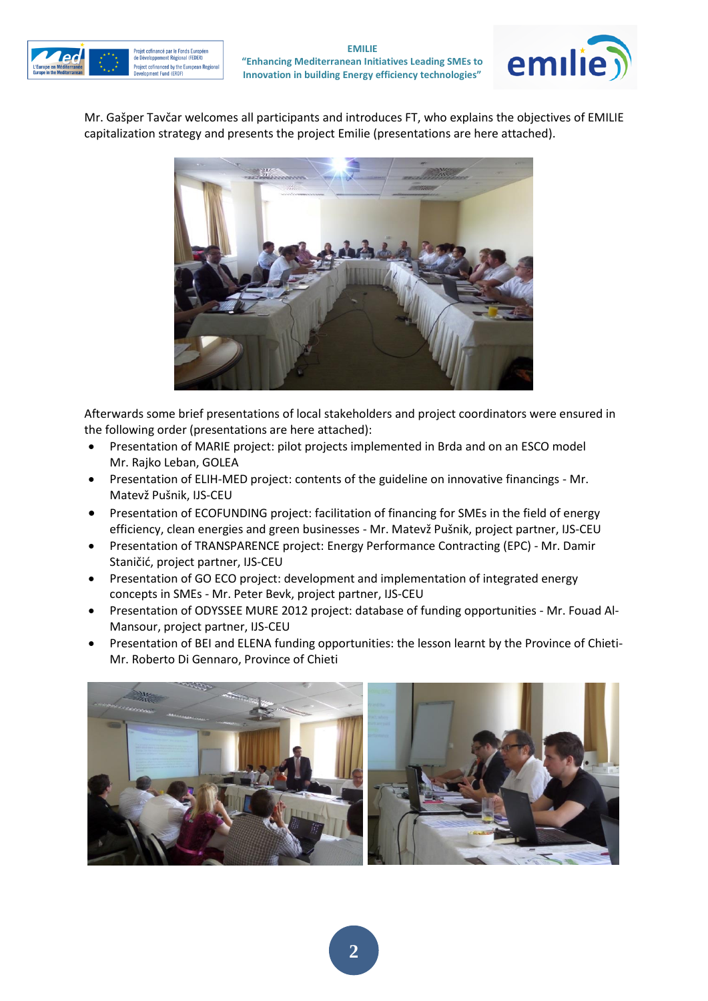



Mr. Gašper Tavčar welcomes all participants and introduces FT, who explains the objectives of EMILIE capitalization strategy and presents the project Emilie (presentations are here attached).



Afterwards some brief presentations of local stakeholders and project coordinators were ensured in the following order (presentations are here attached):

- Presentation of MARIE project: pilot projects implemented in Brda and on an ESCO model Mr. Rajko Leban, GOLEA
- Presentation of ELIH-MED project: contents of the guideline on innovative financings Mr. Matevž Pušnik, IJS-CEU
- Presentation of ECOFUNDING project: facilitation of financing for SMEs in the field of energy efficiency, clean energies and green businesses - Mr. Matevž Pušnik, project partner, IJS-CEU
- Presentation of TRANSPARENCE project: Energy Performance Contracting (EPC) Mr. Damir Staničić, project partner, IJS-CEU
- Presentation of GO ECO project: development and implementation of integrated energy concepts in SMEs - Mr. Peter Bevk, project partner, IJS-CEU
- Presentation of ODYSSEE MURE 2012 project: database of funding opportunities Mr. Fouad Al-Mansour, project partner, IJS-CEU
- Presentation of BEI and ELENA funding opportunities: the lesson learnt by the Province of Chieti-Mr. Roberto Di Gennaro, Province of Chieti

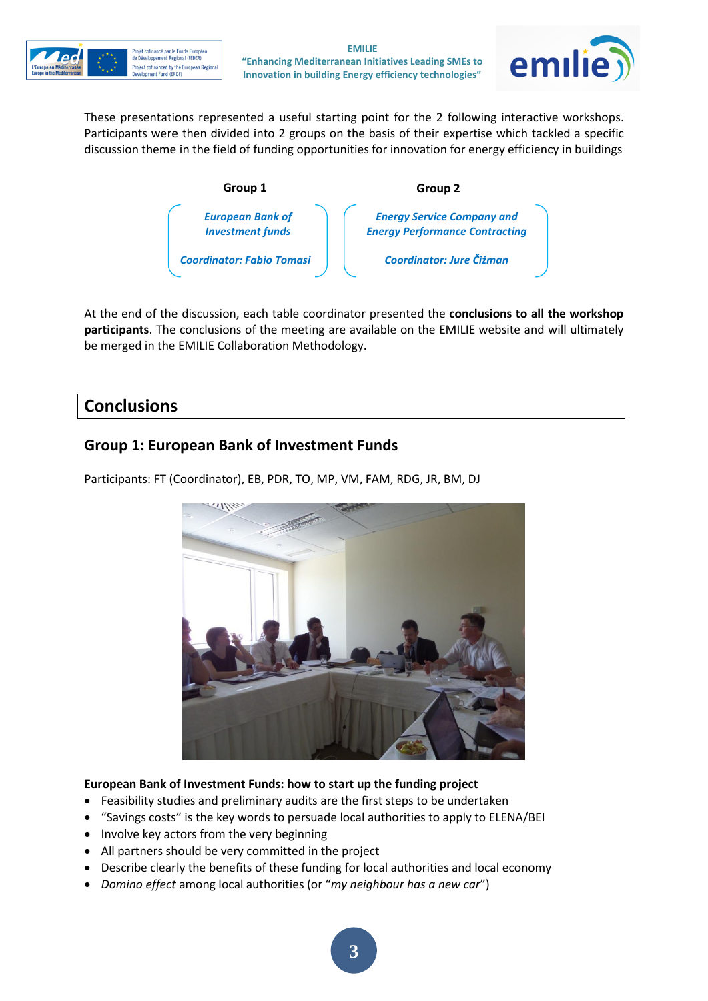



These presentations represented a useful starting point for the 2 following interactive workshops. Participants were then divided into 2 groups on the basis of their expertise which tackled a specific discussion theme in the field of funding opportunities for innovation for energy efficiency in buildings



At the end of the discussion, each table coordinator presented the **conclusions to all the workshop participants**. The conclusions of the meeting are available on the EMILIE website and will ultimately be merged in the EMILIE Collaboration Methodology.

## **Conclusions**

## **Group 1: European Bank of Investment Funds**



Participants: FT (Coordinator), EB, PDR, TO, MP, VM, FAM, RDG, JR, BM, DJ

#### **European Bank of Investment Funds: how to start up the funding project**

- Feasibility studies and preliminary audits are the first steps to be undertaken
- "Savings costs" is the key words to persuade local authorities to apply to ELENA/BEI
- Involve key actors from the very beginning
- All partners should be very committed in the project
- Describe clearly the benefits of these funding for local authorities and local economy
- *Domino effect* among local authorities (or "*my neighbour has a new car*")

**3**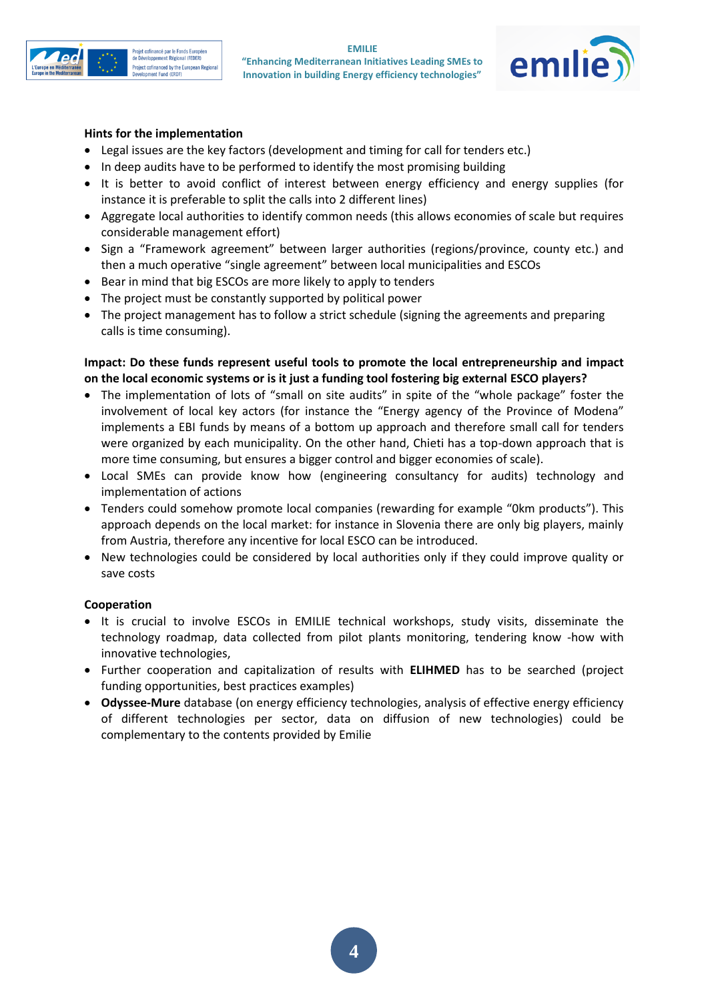



#### **Hints for the implementation**

- Legal issues are the key factors (development and timing for call for tenders etc.)
- In deep audits have to be performed to identify the most promising building
- It is better to avoid conflict of interest between energy efficiency and energy supplies (for instance it is preferable to split the calls into 2 different lines)
- Aggregate local authorities to identify common needs (this allows economies of scale but requires considerable management effort)
- Sign a "Framework agreement" between larger authorities (regions/province, county etc.) and then a much operative "single agreement" between local municipalities and ESCOs
- Bear in mind that big ESCOs are more likely to apply to tenders
- The project must be constantly supported by political power
- The project management has to follow a strict schedule (signing the agreements and preparing calls is time consuming).

#### **Impact: Do these funds represent useful tools to promote the local entrepreneurship and impact on the local economic systems or is it just a funding tool fostering big external ESCO players?**

- The implementation of lots of "small on site audits" in spite of the "whole package" foster the involvement of local key actors (for instance the "Energy agency of the Province of Modena" implements a EBI funds by means of a bottom up approach and therefore small call for tenders were organized by each municipality. On the other hand, Chieti has a top-down approach that is more time consuming, but ensures a bigger control and bigger economies of scale).
- Local SMEs can provide know how (engineering consultancy for audits) technology and implementation of actions
- Tenders could somehow promote local companies (rewarding for example "0km products"). This approach depends on the local market: for instance in Slovenia there are only big players, mainly from Austria, therefore any incentive for local ESCO can be introduced.
- New technologies could be considered by local authorities only if they could improve quality or save costs

#### **Cooperation**

- It is crucial to involve ESCOs in EMILIE technical workshops, study visits, disseminate the technology roadmap, data collected from pilot plants monitoring, tendering know -how with innovative technologies,
- Further cooperation and capitalization of results with **ELIHMED** has to be searched (project funding opportunities, best practices examples)
- **Odyssee-Mure** database (on energy efficiency technologies, analysis of effective energy efficiency of different technologies per sector, data on diffusion of new technologies) could be complementary to the contents provided by Emilie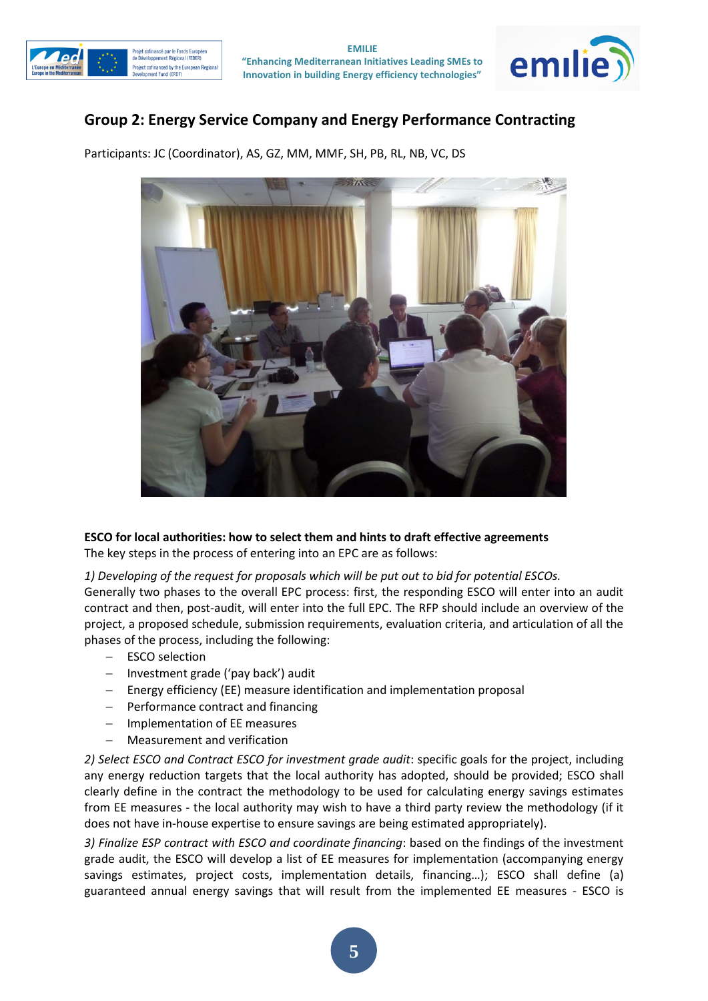



## **Group 2: Energy Service Company and Energy Performance Contracting**

Participants: JC (Coordinator), AS, GZ, MM, MMF, SH, PB, RL, NB, VC, DS



#### **ESCO for local authorities: how to select them and hints to draft effective agreements**

The key steps in the process of entering into an EPC are as follows:

#### *1) Developing of the request for proposals which will be put out to bid for potential ESCOs.*

Generally two phases to the overall EPC process: first, the responding ESCO will enter into an audit contract and then, post-audit, will enter into the full EPC. The RFP should include an overview of the project, a proposed schedule, submission requirements, evaluation criteria, and articulation of all the phases of the process, including the following:

- ESCO selection
- $-$  Investment grade ('pay back') audit
- Energy efficiency (EE) measure identification and implementation proposal
- $-$  Performance contract and financing
- Implementation of EE measures
- Measurement and verification

*2) Select ESCO and Contract ESCO for investment grade audit*: specific goals for the project, including any energy reduction targets that the local authority has adopted, should be provided; ESCO shall clearly define in the contract the methodology to be used for calculating energy savings estimates from EE measures - the local authority may wish to have a third party review the methodology (if it does not have in-house expertise to ensure savings are being estimated appropriately).

*3) Finalize ESP contract with ESCO and coordinate financing*: based on the findings of the investment grade audit, the ESCO will develop a list of EE measures for implementation (accompanying energy savings estimates, project costs, implementation details, financing…); ESCO shall define (a) guaranteed annual energy savings that will result from the implemented EE measures - ESCO is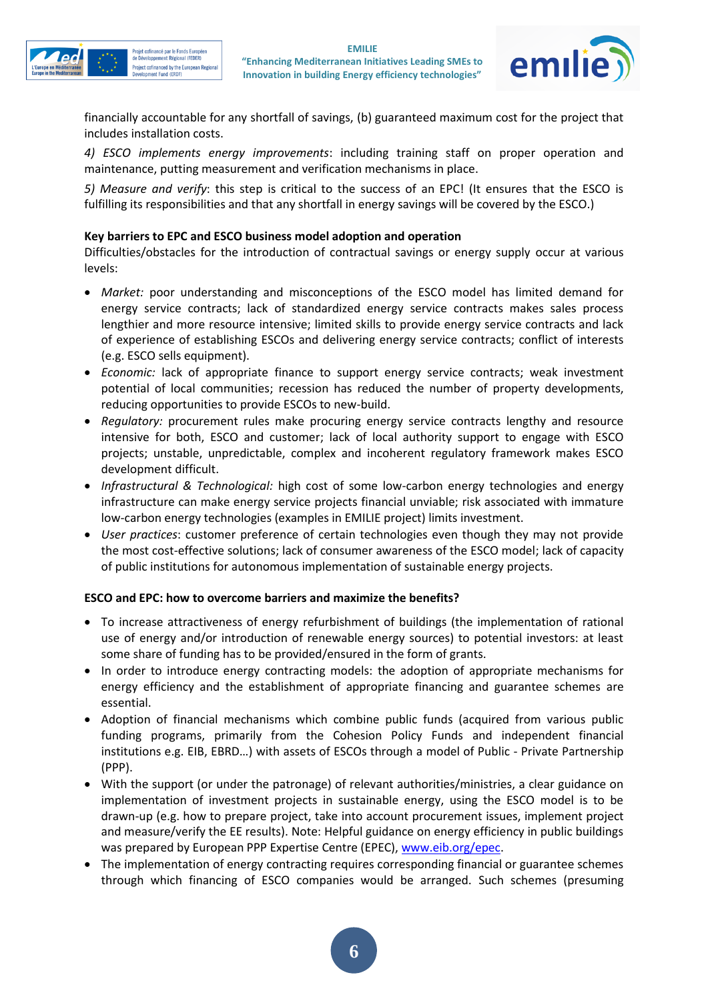



financially accountable for any shortfall of savings, (b) guaranteed maximum cost for the project that includes installation costs.

*4) ESCO implements energy improvements*: including training staff on proper operation and maintenance, putting measurement and verification mechanisms in place.

*5) Measure and verify*: this step is critical to the success of an EPC! (It ensures that the ESCO is fulfilling its responsibilities and that any shortfall in energy savings will be covered by the ESCO.)

#### **Key barriers to EPC and ESCO business model adoption and operation**

Difficulties/obstacles for the introduction of contractual savings or energy supply occur at various levels:

- *Market:* poor understanding and misconceptions of the ESCO model has limited demand for energy service contracts; lack of standardized energy service contracts makes sales process lengthier and more resource intensive; limited skills to provide energy service contracts and lack of experience of establishing ESCOs and delivering energy service contracts; conflict of interests (e.g. ESCO sells equipment).
- *Economic:* lack of appropriate finance to support energy service contracts; weak investment potential of local communities; recession has reduced the number of property developments, reducing opportunities to provide ESCOs to new-build.
- *Regulatory:* procurement rules make procuring energy service contracts lengthy and resource intensive for both, ESCO and customer; lack of local authority support to engage with ESCO projects; unstable, unpredictable, complex and incoherent regulatory framework makes ESCO development difficult.
- *Infrastructural & Technological:* high cost of some low-carbon energy technologies and energy infrastructure can make energy service projects financial unviable; risk associated with immature low-carbon energy technologies (examples in EMILIE project) limits investment.
- *User practices*: customer preference of certain technologies even though they may not provide the most cost-effective solutions; lack of consumer awareness of the ESCO model; lack of capacity of public institutions for autonomous implementation of sustainable energy projects.

#### **ESCO and EPC: how to overcome barriers and maximize the benefits?**

- To increase attractiveness of energy refurbishment of buildings (the implementation of rational use of energy and/or introduction of renewable energy sources) to potential investors: at least some share of funding has to be provided/ensured in the form of grants.
- In order to introduce energy contracting models: the adoption of appropriate mechanisms for energy efficiency and the establishment of appropriate financing and guarantee schemes are essential.
- Adoption of financial mechanisms which combine public funds (acquired from various public funding programs, primarily from the Cohesion Policy Funds and independent financial institutions e.g. EIB, EBRD…) with assets of ESCOs through a model of Public - Private Partnership (PPP).
- With the support (or under the patronage) of relevant authorities/ministries, a clear guidance on implementation of investment projects in sustainable energy, using the ESCO model is to be drawn-up (e.g. how to prepare project, take into account procurement issues, implement project and measure/verify the EE results). Note: Helpful guidance on energy efficiency in public buildings was prepared by European PPP Expertise Centre (EPEC)[, www.eib.org/epec.](http://www.eib.org/epec)
- The implementation of energy contracting requires corresponding financial or guarantee schemes through which financing of ESCO companies would be arranged. Such schemes (presuming